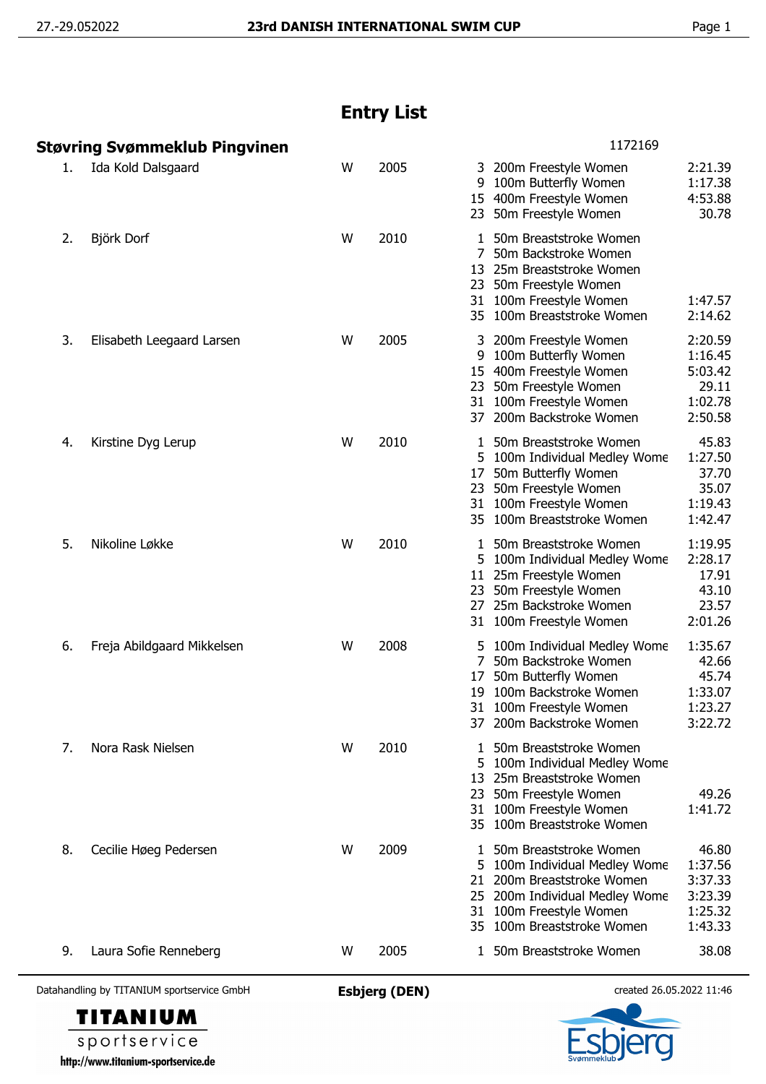## **Entry List**

|    | Støvring Svømmeklub Pingvinen |   |      | 1172169                                                                                                                                                                                                                                           |
|----|-------------------------------|---|------|---------------------------------------------------------------------------------------------------------------------------------------------------------------------------------------------------------------------------------------------------|
| 1. | Ida Kold Dalsgaard            | W | 2005 | 2:21.39<br>3 200m Freestyle Women<br>100m Butterfly Women<br>1:17.38<br>9<br>4:53.88<br>15 400m Freestyle Women<br>23 50m Freestyle Women<br>30.78                                                                                                |
| 2. | Björk Dorf                    | W | 2010 | 1 50m Breaststroke Women<br>7<br>50m Backstroke Women<br>13 25m Breaststroke Women<br>23 50m Freestyle Women<br>31 100m Freestyle Women<br>1:47.57<br>35 100m Breaststroke Women<br>2:14.62                                                       |
| 3. | Elisabeth Leegaard Larsen     | W | 2005 | 2:20.59<br>3 200m Freestyle Women<br>1:16.45<br>100m Butterfly Women<br>9<br>5:03.42<br>15 400m Freestyle Women<br>23 50m Freestyle Women<br>29.11<br>1:02.78<br>31 100m Freestyle Women<br>2:50.58<br>37 200m Backstroke Women                   |
| 4. | Kirstine Dyg Lerup            | W | 2010 | 45.83<br>1 50m Breaststroke Women<br>1:27.50<br>5 100m Individual Medley Wome<br>37.70<br>50m Butterfly Women<br>17<br>35.07<br>23 50m Freestyle Women<br>31 100m Freestyle Women<br>1:19.43<br>1:42.47<br>35 100m Breaststroke Women             |
| 5. | Nikoline Løkke                | W | 2010 | 1:19.95<br>50m Breaststroke Women<br>1<br>2:28.17<br>5 100m Individual Medley Wome<br>11 25m Freestyle Women<br>17.91<br>43.10<br>23 50m Freestyle Women<br>23.57<br>27 25m Backstroke Women<br>2:01.26<br>31 100m Freestyle Women                |
| 6. | Freja Abildgaard Mikkelsen    | W | 2008 | 1:35.67<br>5 100m Individual Medley Wome<br>7 50m Backstroke Women<br>42.66<br>50m Butterfly Women<br>45.74<br>17<br>100m Backstroke Women<br>1:33.07<br>19<br>1:23.27<br>31 100m Freestyle Women<br>37 200m Backstroke Women<br>3:22.72          |
| 7. | Nora Rask Nielsen             | W | 2010 | 50m Breaststroke Women<br>1<br>100m Individual Medley Wome<br>5.<br>13 25m Breaststroke Women<br>49.26<br>23 50m Freestyle Women<br>1:41.72<br>100m Freestyle Women<br>31<br>35 100m Breaststroke Women                                           |
| 8. | Cecilie Høeg Pedersen         | W | 2009 | 46.80<br>50m Breaststroke Women<br>1:37.56<br>100m Individual Medley Wome<br>3:37.33<br>200m Breaststroke Women<br>21<br>3:23.39<br>25 200m Individual Medley Wome<br>1:25.32<br>31 100m Freestyle Women<br>35 100m Breaststroke Women<br>1:43.33 |
| 9. | Laura Sofie Renneberg         | w | 2005 | 38.08<br>1 50m Breaststroke Women                                                                                                                                                                                                                 |

Datahandling by TITANIUM sportservice GmbH **Esbjerg (DEN)** created 26.05.2022 11:46



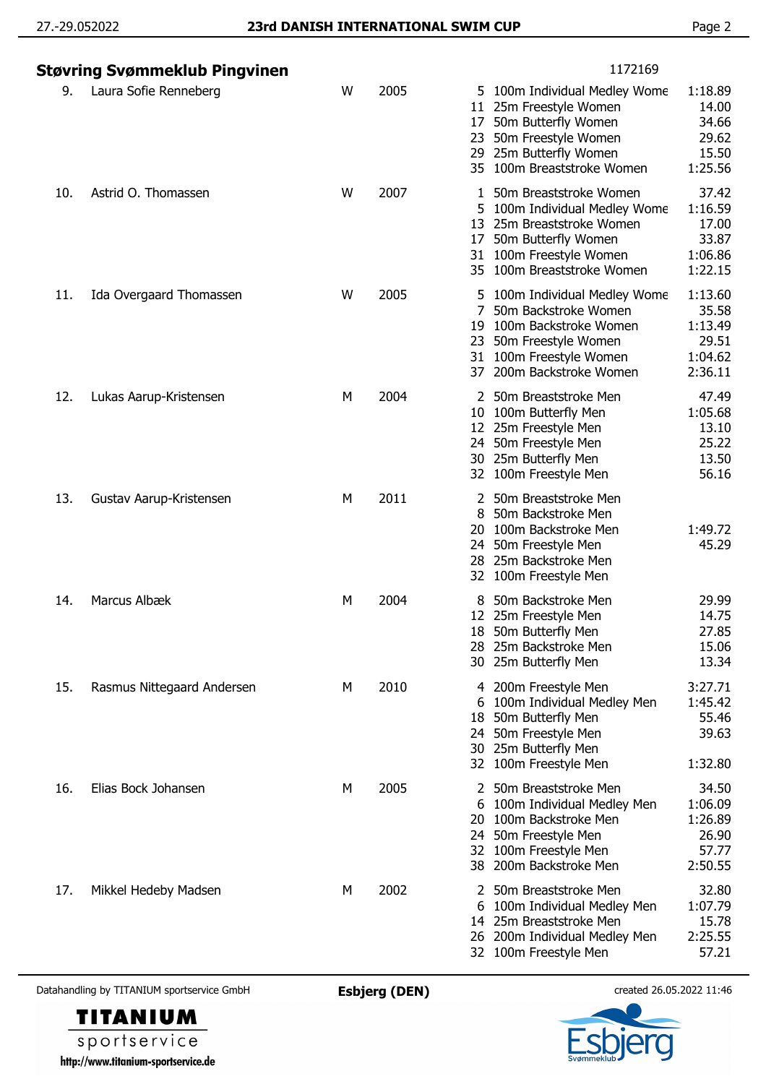| Støvring Svømmeklub Pingvinen |                            |   |      | 1172169                                                                                                                                                                                                                                           |
|-------------------------------|----------------------------|---|------|---------------------------------------------------------------------------------------------------------------------------------------------------------------------------------------------------------------------------------------------------|
| 9.                            | Laura Sofie Renneberg      | W | 2005 | 1:18.89<br>5 100m Individual Medley Wome<br>14.00<br>25m Freestyle Women<br>11<br>34.66<br>50m Butterfly Women<br>17<br>50m Freestyle Women<br>29.62<br>23<br>15.50<br>29 25m Butterfly Women<br>1:25.56<br>35 100m Breaststroke Women            |
| 10.                           | Astrid O. Thomassen        | W | 2007 | 37.42<br>50m Breaststroke Women<br>1<br>1:16.59<br>100m Individual Medley Wome<br>5<br>17.00<br>25m Breaststroke Women<br>13<br>33.87<br>50m Butterfly Women<br>17<br>31 100m Freestyle Women<br>1:06.86<br>1:22.15<br>35 100m Breaststroke Women |
| 11.                           | Ida Overgaard Thomassen    | W | 2005 | 1:13.60<br>5 100m Individual Medley Wome<br>35.58<br>50m Backstroke Women<br>100m Backstroke Women<br>1:13.49<br>19<br>29.51<br>23 50m Freestyle Women<br>31 100m Freestyle Women<br>1:04.62<br>2:36.11<br>37 200m Backstroke Women               |
| 12.                           | Lukas Aarup-Kristensen     | М | 2004 | 47.49<br>2 50m Breaststroke Men<br>1:05.68<br>10 100m Butterfly Men<br>13.10<br>12 25m Freestyle Men<br>25.22<br>24 50m Freestyle Men<br>13.50<br>30 25m Butterfly Men<br>56.16<br>32 100m Freestyle Men                                          |
| 13.                           | Gustav Aarup-Kristensen    | M | 2011 | 2 50m Breaststroke Men<br>50m Backstroke Men<br>8<br>100m Backstroke Men<br>1:49.72<br>20<br>45.29<br>50m Freestyle Men<br>24.<br>28 25m Backstroke Men<br>100m Freestyle Men<br>32                                                               |
| 14.                           | Marcus Albæk               | M | 2004 | 50m Backstroke Men<br>29.99<br>14.75<br>12 25m Freestyle Men<br>18 50m Butterfly Men<br>27.85<br>28 25m Backstroke Men<br>15.06<br>13.34<br>30 25m Butterfly Men                                                                                  |
| 15.                           | Rasmus Nittegaard Andersen | M | 2010 | 3:27.71<br>4 200m Freestyle Men<br>1:45.42<br>100m Individual Medley Men<br>6<br>55.46<br>18 50m Butterfly Men<br>39.63<br>24 50m Freestyle Men<br>30 25m Butterfly Men<br>32 100m Freestyle Men<br>1:32.80                                       |
| 16.                           | Elias Bock Johansen        | М | 2005 | 50m Breaststroke Men<br>34.50<br>1:06.09<br>100m Individual Medley Men<br>6<br>1:26.89<br>100m Backstroke Men<br>20<br>26.90<br>24 50m Freestyle Men<br>57.77<br>32 100m Freestyle Men<br>38 200m Backstroke Men<br>2:50.55                       |
| 17.                           | Mikkel Hedeby Madsen       | M | 2002 | 32.80<br>2 50m Breaststroke Men<br>1:07.79<br>100m Individual Medley Men<br>14 25m Breaststroke Men<br>15.78<br>2:25.55<br>26 200m Individual Medley Men<br>57.21<br>32 100m Freestyle Men                                                        |

Datahandling by TITANIUM sportservice GmbH **Esbjerg (DEN)** created 26.05.2022 11:46



sportservice http://www.titanium-sportservice.de

**TITANIUM**